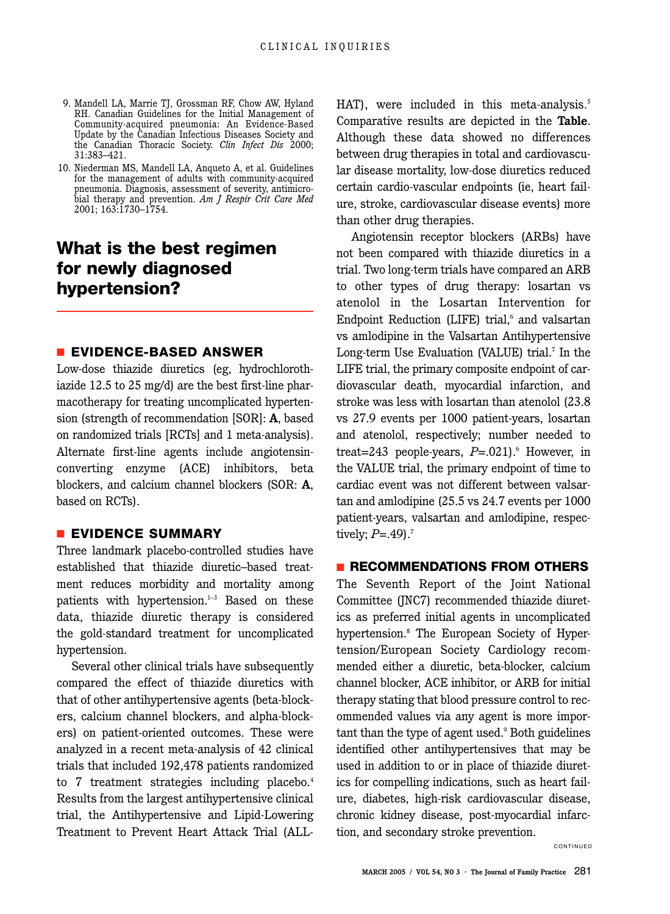- 9. Mandell LA, Marrie TJ, Grossman RF, Chow AW, Hyland RH. Canadian Guidelines for the Initial Management of Community-acquired pneumonia: An Evidence-Based Update by the Canadian Infectious Diseases Society and the Canadian Thoracic Society. *Clin Infect Dis* 2000; 31:383–421.
- 10. Niederman MS, Mandell LA, Anqueto A, et al. Guidelines for the management of adults with community-acquired pneumonia. Diagnosis, assessment of severity, antimicrobial therapy and prevention. *Am J Respir Crit Care Med* 2001; 163:1730–1754.

# **What is the best regimen for newly diagnosed hypertension?**

#### ■ **EVIDENCE-BASED ANSWER**

Low-dose thiazide diuretics (eg, hydrochlorothiazide 12.5 to 25 mg/d) are the best first-line pharmacotherapy for treating uncomplicated hypertension (strength of recommendation [SOR]: **A**, based on randomized trials [RCTs] and 1 meta-analysis). Alternate first-line agents include angiotensinconverting enzyme (ACE) inhibitors, beta blockers, and calcium channel blockers (SOR: **A**, based on RCTs).

#### ■ **EVIDENCE SUMMARY**

Three landmark placebo-controlled studies have established that thiazide diuretic–based treatment reduces morbidity and mortality among patients with hypertension. $1-3$  Based on these data, thiazide diuretic therapy is considered the gold-standard treatment for uncomplicated hypertension.

Several other clinical trials have subsequently compared the effect of thiazide diuretics with that of other antihypertensive agents (beta-blockers, calcium channel blockers, and alpha-blockers) on patient-oriented outcomes. These were analyzed in a recent meta-analysis of 42 clinical trials that included 192,478 patients randomized to 7 treatment strategies including placebo.<sup>4</sup> Results from the largest antihypertensive clinical trial, the Antihypertensive and Lipid-Lowering Treatment to Prevent Heart Attack Trial (ALL-

HAT), were included in this meta-analysis.<sup>5</sup> Comparative results are depicted in the **Table**. Although these data showed no differences between drug therapies in total and cardiovascular disease mortality, low-dose diuretics reduced certain cardio-vascular endpoints (ie, heart failure, stroke, cardiovascular disease events) more than other drug therapies.

Angiotensin receptor blockers (ARBs) have not been compared with thiazide diuretics in a trial. Two long-term trials have compared an ARB to other types of drug therapy: losartan vs atenolol in the Losartan Intervention for Endpoint Reduction (LIFE) trial, $6$  and valsartan vs amlodipine in the Valsartan Antihypertensive Long-term Use Evaluation (VALUE) trial.<sup>7</sup> In the LIFE trial, the primary composite endpoint of cardiovascular death, myocardial infarction, and stroke was less with losartan than atenolol (23.8 vs 27.9 events per 1000 patient-years, losartan and atenolol, respectively; number needed to treat=243 people-years,  $P=.021$ .<sup>6</sup> However, in the VALUE trial, the primary endpoint of time to cardiac event was not different between valsartan and amlodipine (25.5 vs 24.7 events per 1000 patient-years, valsartan and amlodipine, respectively;  $P = .49$ .<sup>7</sup>

## ■ **RECOMMENDATIONS FROM OTHERS**

The Seventh Report of the Joint National Committee (JNC7) recommended thiazide diuretics as preferred initial agents in uncomplicated hypertension.8 The European Society of Hypertension/European Society Cardiology recommended either a diuretic, beta-blocker, calcium channel blocker, ACE inhibitor, or ARB for initial therapy stating that blood pressure control to recommended values via any agent is more important than the type of agent used.<sup>9</sup> Both guidelines identified other antihypertensives that may be used in addition to or in place of thiazide diuretics for compelling indications, such as heart failure, diabetes, high-risk cardiovascular disease, chronic kidney disease, post-myocardial infarction, and secondary stroke prevention.

CONTINUED